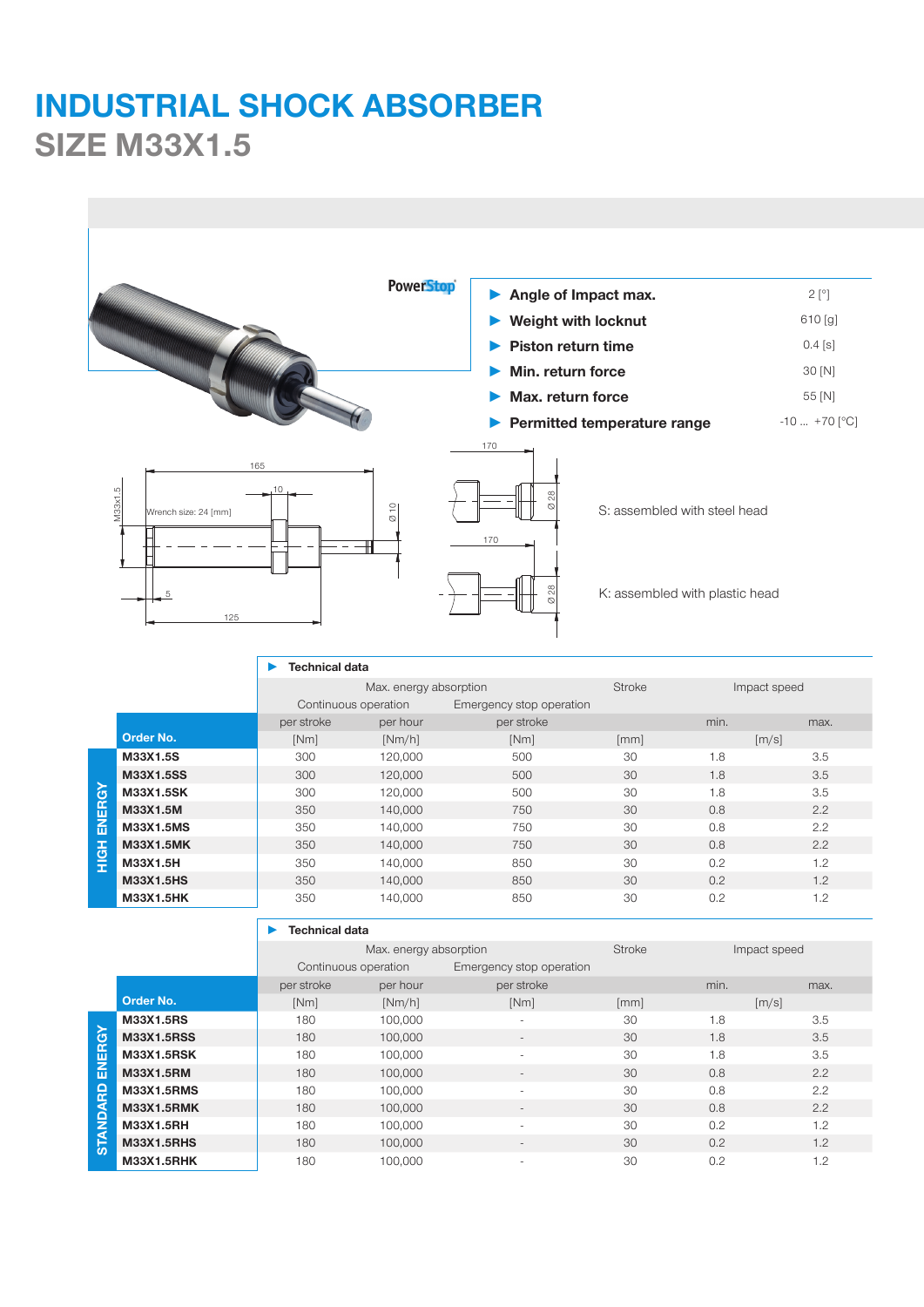## **INDUSTRIAL SHOCK ABSORBER SIZE M33X1.5**

|                                                                                                                                                                            |                                                                  |                       | <b>PowerStop</b>          | Angle of Impact max.         |           |                  | $2[^{\circ}]$ |
|----------------------------------------------------------------------------------------------------------------------------------------------------------------------------|------------------------------------------------------------------|-----------------------|---------------------------|------------------------------|-----------|------------------|---------------|
|                                                                                                                                                                            |                                                                  |                       |                           |                              |           |                  | $610$ [g]     |
|                                                                                                                                                                            |                                                                  |                       |                           | <b>Weight with locknut</b>   |           |                  |               |
|                                                                                                                                                                            |                                                                  |                       | <b>Piston return time</b> |                              | $0.4$ [s] |                  |               |
|                                                                                                                                                                            |                                                                  |                       |                           | Min. return force            |           |                  | 30 [N]        |
|                                                                                                                                                                            |                                                                  |                       |                           | Max. return force            |           | 55 [N]           |               |
|                                                                                                                                                                            |                                                                  |                       |                           | Permitted temperature range  |           | $-10$ $+70$ [°C] |               |
| 170<br>165<br>10<br>M33x1.5<br>$\frac{0}{2}$<br>S: assembled with steel head<br>Wrench size: 24 [mm]<br>170<br>ఇ<br>K: assembled with plastic head<br>5<br>$\infty$<br>125 |                                                                  |                       |                           |                              |           |                  |               |
|                                                                                                                                                                            | <b>Technical data</b><br>Max. energy absorption<br><b>Stroke</b> |                       | Impact speed              |                              |           |                  |               |
|                                                                                                                                                                            |                                                                  | Continuous operation  |                           | Emergency stop operation     |           |                  |               |
|                                                                                                                                                                            |                                                                  | per stroke            | per hour                  | per stroke                   |           | min.             | max.          |
|                                                                                                                                                                            | Order No.                                                        | [Nm]                  | [Nm/h]                    | [Nm]                         | [mm]      |                  | [m/s]         |
|                                                                                                                                                                            | M33X1.5S                                                         | 300                   | 120,000                   | 500                          | 30        | 1.8              | 3.5           |
|                                                                                                                                                                            | M33X1.5SS                                                        | 300                   | 120,000                   | 500                          | 30        | 1.8              | 3.5           |
|                                                                                                                                                                            | M33X1.5SK                                                        | 300                   | 120,000                   | 500                          | 30        | 1.8              | 3.5           |
|                                                                                                                                                                            | M33X1.5M                                                         | 350                   | 140,000                   | 750                          | 30        | 0.8              | 2.2           |
| <b>HIGH ENERGY</b>                                                                                                                                                         | M33X1.5MS                                                        | 350                   | 140,000                   | 750                          | 30        | 0.8              | 2.2           |
|                                                                                                                                                                            | M33X1.5MK                                                        | 350                   | 140,000                   | 750                          | 30        | 0.8              | 2.2           |
|                                                                                                                                                                            | M33X1.5H                                                         | 350                   | 140,000                   | 850                          | 30        | 0.2              | 1.2           |
|                                                                                                                                                                            | M33X1.5HS                                                        | 350                   | 140,000                   | 850                          | 30        | 0.2              | 1.2           |
|                                                                                                                                                                            | M33X1.5HK                                                        | 350                   | 140,000                   | 850                          | 30        | 0.2              | 1.2           |
|                                                                                                                                                                            |                                                                  | <b>Technical data</b> |                           |                              |           |                  |               |
|                                                                                                                                                                            |                                                                  |                       | Max. energy absorption    |                              | Stroke    |                  | Impact speed  |
|                                                                                                                                                                            |                                                                  | Continuous operation  |                           | Emergency stop operation     |           |                  |               |
|                                                                                                                                                                            |                                                                  | per stroke            | per hour                  | per stroke                   |           | min.             | max.          |
|                                                                                                                                                                            | Order No.                                                        | [Nm]                  | [Nm/h]                    | [Nm]                         | [mm]      |                  | [m/s]         |
|                                                                                                                                                                            | M33X1.5RS                                                        | 180                   | 100,000                   | $\overline{a}$               | 30        | 1.8              | 3.5           |
|                                                                                                                                                                            | M33X1.5RSS                                                       | 180                   | 100,000                   | $\overline{\phantom{a}}$     | 30        | 1.8              | $3.5\,$       |
|                                                                                                                                                                            | M33X1.5RSK                                                       | 180                   | 100,000                   | $\blacksquare$               | 30        | 1.8              | 3.5           |
|                                                                                                                                                                            | M33X1.5RM                                                        | 180                   | 100,000                   |                              | 30        | $0.8\,$          | 2.2           |
|                                                                                                                                                                            | M33X1.5RMS                                                       | 180                   | 100,000                   | ÷,                           | 30        | 0.8              | 2.2           |
| <b>STANDARD ENERGY</b>                                                                                                                                                     | M33X1.5RMK                                                       | 180                   | 100,000                   |                              | 30        | $0.8\,$          | 2.2           |
|                                                                                                                                                                            | M33X1.5RH                                                        |                       |                           | $\blacksquare$               | 30        | $0.2\,$          | $1.2\,$       |
|                                                                                                                                                                            |                                                                  | 180                   | 100,000                   |                              |           |                  |               |
|                                                                                                                                                                            | M33X1.5RHS                                                       | 180                   | 100,000                   | $\qquad \qquad \blacksquare$ | 30        | $0.2\,$          | $1.2\,$       |
|                                                                                                                                                                            | M33X1.5RHK                                                       | 180                   | 100,000                   | ÷,                           | 30        | 0.2              | 1.2           |